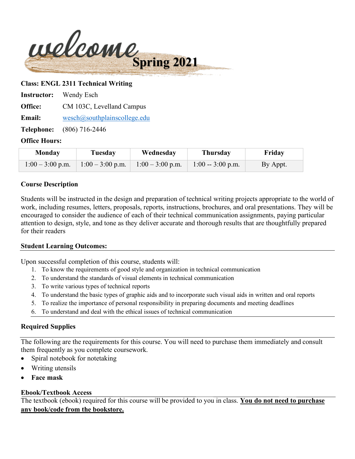

#### **Class: ENGL 2311 Technical Writing**

**Instructor:** Wendy Esch

**Office:** CM 103C, Levelland Campus

**Email:** [wesch@southplainscollege.edu](mailto:wesch@southplainscollege.edu)

**Telephone:** (806) 716-2446

#### **Office Hours:**

| Monday           | Tuesday          | Wednesday        | <b>Thursday</b>    | Friday   |
|------------------|------------------|------------------|--------------------|----------|
| $1:00-3:00$ p.m. | $1:00-3:00$ p.m. | $1:00-3:00$ p.m. | $1:00 - 3:00$ p.m. | By Appt. |

#### **Course Description**

Students will be instructed in the design and preparation of technical writing projects appropriate to the world of work, including resumes, letters, proposals, reports, instructions, brochures, and oral presentations. They will be encouraged to consider the audience of each of their technical communication assignments, paying particular attention to design, style, and tone as they deliver accurate and thorough results that are thoughtfully prepared for their readers

#### **Student Learning Outcomes:**

Upon successful completion of this course, students will:

- 1. To know the requirements of good style and organization in technical communication
- 2. To understand the standards of visual elements in technical communication
- 3. To write various types of technical reports
- 4. To understand the basic types of graphic aids and to incorporate such visual aids in written and oral reports
- 5. To realize the importance of personal responsibility in preparing documents and meeting deadlines
- 6. To understand and deal with the ethical issues of technical communication

# **Required Supplies**

The following are the requirements for this course. You will need to purchase them immediately and consult them frequently as you complete coursework.

- Spiral notebook for notetaking
- Writing utensils
- **Face mask**

# **Ebook/Textbook Access**

The textbook (ebook) required for this course will be provided to you in class. **You do not need to purchase any book/code from the bookstore.**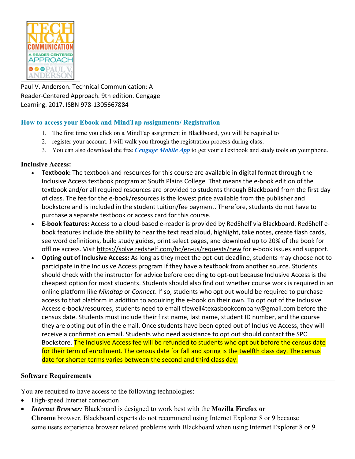

Paul V. Anderson. Technical Communication: A Reader-Centered Approach. 9th edition. Cengage Learning. 2017. ISBN 978-1305667884

# **How to access your Ebook and MindTap assignments/ Registration**

- 1. The first time you click on a MindTap assignment in Blackboard, you will be required to
- 2. register your account. I will walk you through the registration process during class.
- 3. You can also download the free *[Cengage Mobile App](https://www.cengage.com/mobile-app/)* to get your eTextbook and study tools on your phone.

# **Inclusive Access:**

- **Textbook:** The textbook and resources for this course are available in digital format through the Inclusive Access textbook program at South Plains College. That means the e-book edition of the textbook and/or all required resources are provided to students through Blackboard from the first day of class. The fee for the e-book/resources is the lowest price available from the publisher and bookstore and is included in the student tuition/fee payment. Therefore, students do not have to purchase a separate textbook or access card for this course.
- **E-book features:** Access to a cloud-based e-reader is provided by RedShelf via Blackboard. RedShelf ebook features include the ability to hear the text read aloud, highlight, take notes, create flash cards, see word definitions, build study guides, print select pages, and download up to 20% of the book for offline access. Visit<https://solve.redshelf.com/hc/en-us/requests/new> for e-book issues and support.
- **Opting out of Inclusive Access:** As long as they meet the opt-out deadline, students may choose not to participate in the Inclusive Access program if they have a textbook from another source. Students should check with the instructor for advice before deciding to opt-out because Inclusive Access is the cheapest option for most students. Students should also find out whether course work is required in an online platform like *Mindtap* or *Connect*. If so, students who opt out would be required to purchase access to that platform in addition to acquiring the e-book on their own. To opt out of the Inclusive Access e-book/resources, students need to email [tfewell4texasbookcompany@gmail.com](mailto:tfewell4texasbookcompany@gmail.com) before the census date. Students must include their first name, last name, student ID number, and the course they are opting out of in the email. Once students have been opted out of Inclusive Access, they will receive a confirmation email. Students who need assistance to opt out should contact the SPC Bookstore. The Inclusive Access fee will be refunded to students who opt out before the census date for their term of enrollment. The census date for fall and spring is the twelfth class day. The census date for shorter terms varies between the second and third class day.

# **Software Requirements**

You are required to have access to the following technologies:

- High-speed Internet connection
- *Internet Browser:* Blackboard is designed to work best with the **Mozilla Firefox or Chrome** browser. Blackboard experts do not recommend using Internet Explorer 8 or 9 because some users experience browser related problems with Blackboard when using Internet Explorer 8 or 9.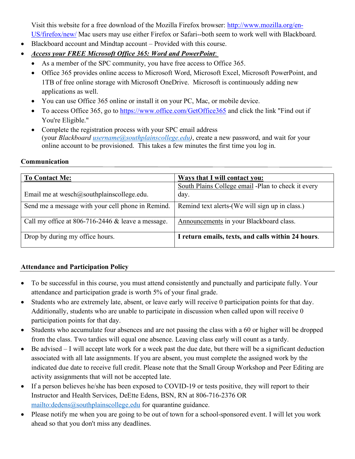Visit this website for a free download of the Mozilla Firefox browser: [http://www.mozilla.org/en-](http://www.mozilla.org/en-US/firefox/new/)[US/firefox/new/](http://www.mozilla.org/en-US/firefox/new/) Mac users may use either Firefox or Safari--both seem to work well with Blackboard.

- Blackboard account and Mindtap account Provided with this course.
- *Access your FREE Microsoft Office 365: Word and PowerPoint*:
	- As a member of the SPC community, you have free access to Office 365.
	- Office 365 provides online access to Microsoft Word, Microsoft Excel, Microsoft PowerPoint, and 1TB of free online storage with Microsoft OneDrive. Microsoft is continuously adding new applications as well.
	- You can use Office 365 online or install it on your PC, Mac, or mobile device.
	- To access Office 365, go to <https://www.office.com/GetOffice365> and click the link "Find out if You're Eligible."
	- Complete the registration process with your SPC email address (your *Blackboard [username@southplainscollege.edu\)](mailto:username@southplainscollege.edu)*, create a new password, and wait for your online account to be provisioned. This takes a few minutes the first time you log in.

# **Communication**

| <b>To Contact Me:</b>                               | <b>Ways that I will contact you:</b>                       |
|-----------------------------------------------------|------------------------------------------------------------|
| Email me at wesch $@$ southplainscollege.edu.       | South Plains College email -Plan to check it every<br>day. |
| Send me a message with your cell phone in Remind.   | Remind text alerts-(We will sign up in class.)             |
| Call my office at 806-716-2446 $&$ leave a message. | Announcements in your Blackboard class.                    |
| Drop by during my office hours.                     | I return emails, texts, and calls within 24 hours.         |

# **Attendance and Participation Policy**

- To be successful in this course, you must attend consistently and punctually and participate fully. Your attendance and participation grade is worth 5% of your final grade.
- Students who are extremely late, absent, or leave early will receive 0 participation points for that day. Additionally, students who are unable to participate in discussion when called upon will receive 0 participation points for that day.
- Students who accumulate four absences and are not passing the class with a 60 or higher will be dropped from the class. Two tardies will equal one absence. Leaving class early will count as a tardy.
- Be advised I will accept late work for a week past the due date, but there will be a significant deduction associated with all late assignments. If you are absent, you must complete the assigned work by the indicated due date to receive full credit. Please note that the Small Group Workshop and Peer Editing are activity assignments that will not be accepted late.
- If a person believes he/she has been exposed to COVID-19 or tests positive, they will report to their Instructor and Health Services, DeEtte Edens, BSN, RN at 806-716-2376 OR <mailto:dedens@southplainscollege.edu> for quarantine guidance.
- Please notify me when you are going to be out of town for a school-sponsored event. I will let you work ahead so that you don't miss any deadlines.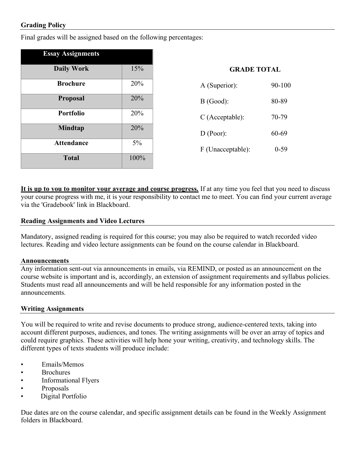# **Grading Policy**

Final grades will be assigned based on the following percentages:

| <b>Essay Assignments</b> |            |                    |        |
|--------------------------|------------|--------------------|--------|
| <b>Daily Work</b>        | 15%        | <b>GRADE TOTAL</b> |        |
| <b>Brochure</b>          | 20%        | A (Superior):      | 90-100 |
| <b>Proposal</b>          | 20%        | $B$ (Good):        | 80-89  |
| <b>Portfolio</b>         | <b>20%</b> | $C$ (Acceptable):  | 70-79  |
| <b>Mindtap</b>           | 20%        | D (Poor):          | 60-69  |
| <b>Attendance</b>        | $5\%$      | F (Unacceptable):  | $0-59$ |
| <b>Total</b>             | 100%       |                    |        |

**It is up to you to monitor your average and course progress.** If at any time you feel that you need to discuss your course progress with me, it is your responsibility to contact me to meet. You can find your current average via the 'Gradebook' link in Blackboard.

#### **Reading Assignments and Video Lectures**

Mandatory, assigned reading is required for this course; you may also be required to watch recorded video lectures. Reading and video lecture assignments can be found on the course calendar in Blackboard.

#### **Announcements**

Any information sent-out via announcements in emails, via REMIND, or posted as an announcement on the course website is important and is, accordingly, an extension of assignment requirements and syllabus policies. Students must read all announcements and will be held responsible for any information posted in the announcements.

#### **Writing Assignments**

You will be required to write and revise documents to produce strong, audience-centered texts, taking into account different purposes, audiences, and tones. The writing assignments will be over an array of topics and could require graphics. These activities will help hone your writing, creativity, and technology skills. The different types of texts students will produce include:

- Emails/Memos
- Brochures
- Informational Flyers
- Proposals
- Digital Portfolio

Due dates are on the course calendar, and specific assignment details can be found in the Weekly Assignment folders in Blackboard.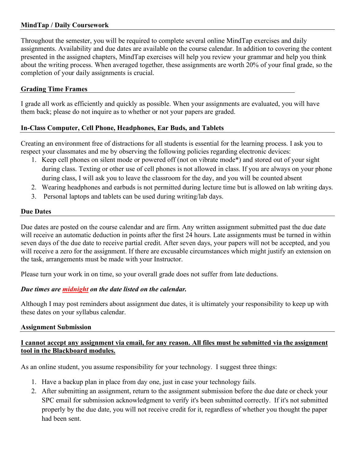# **MindTap / Daily Coursework**

Throughout the semester, you will be required to complete several online MindTap exercises and daily assignments. Availability and due dates are available on the course calendar. In addition to covering the content presented in the assigned chapters, MindTap exercises will help you review your grammar and help you think about the writing process. When averaged together, these assignments are worth 20% of your final grade, so the completion of your daily assignments is crucial.

# **Grading Time Frames**

I grade all work as efficiently and quickly as possible. When your assignments are evaluated, you will have them back; please do not inquire as to whether or not your papers are graded.

# **In-Class Computer, Cell Phone, Headphones, Ear Buds, and Tablets**

Creating an environment free of distractions for all students is essential for the learning process. I ask you to respect your classmates and me by observing the following policies regarding electronic devices:

- 1. Keep cell phones on silent mode or powered off (not on vibrate mode\*) and stored out of your sight during class. Texting or other use of cell phones is not allowed in class. If you are always on your phone during class, I will ask you to leave the classroom for the day, and you will be counted absent
- 2. Wearing headphones and earbuds is not permitted during lecture time but is allowed on lab writing days.
- 3. Personal laptops and tablets can be used during writing/lab days.

#### **Due Dates**

Due dates are posted on the course calendar and are firm. Any written assignment submitted past the due date will receive an automatic deduction in points after the first 24 hours. Late assignments must be turned in within seven days of the due date to receive partial credit. After seven days, your papers will not be accepted, and you will receive a zero for the assignment. If there are excusable circumstances which might justify an extension on the task, arrangements must be made with your Instructor.

Please turn your work in on time, so your overall grade does not suffer from late deductions.

# *Due times are midnight on the date listed on the calendar.*

Although I may post reminders about assignment due dates, it is ultimately your responsibility to keep up with these dates on your syllabus calendar.

#### **Assignment Submission**

# **I cannot accept any assignment via email, for any reason. All files must be submitted via the assignment tool in the Blackboard modules.**

As an online student, you assume responsibility for your technology. I suggest three things:

- 1. Have a backup plan in place from day one, just in case your technology fails.
- 2. After submitting an assignment, return to the assignment submission before the due date or check your SPC email for submission acknowledgment to verify it's been submitted correctly. If it's not submitted properly by the due date, you will not receive credit for it, regardless of whether you thought the paper had been sent.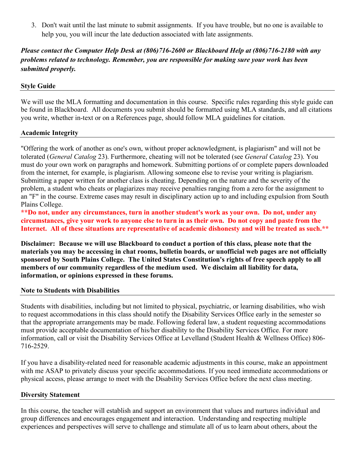3. Don't wait until the last minute to submit assignments. If you have trouble, but no one is available to help you, you will incur the late deduction associated with late assignments.

# *Please contact the Computer Help Desk at (806)716-2600 or Blackboard Help at (806)716-2180 with any problems related to technology. Remember, you are responsible for making sure your work has been submitted properly.*

# **Style Guide**

We will use the MLA formatting and documentation in this course. Specific rules regarding this style guide can be found in Blackboard. All documents you submit should be formatted using MLA standards, and all citations you write, whether in-text or on a References page, should follow MLA guidelines for citation.

# **Academic Integrity**

"Offering the work of another as one's own, without proper acknowledgment, is plagiarism" and will not be tolerated (*General Catalog* 23). Furthermore, cheating will not be tolerated (see *General Catalog* 23). You must do your own work on paragraphs and homework. Submitting portions of or complete papers downloaded from the internet, for example, is plagiarism. Allowing someone else to revise your writing is plagiarism. Submitting a paper written for another class is cheating. Depending on the nature and the severity of the problem, a student who cheats or plagiarizes may receive penalties ranging from a zero for the assignment to an "F" in the course. Extreme cases may result in disciplinary action up to and including expulsion from South Plains College.

**\*\*Do not, under any circumstances, turn in another student's work as your own. Do not, under any circumstances, give your work to anyone else to turn in as their own. Do not copy and paste from the Internet. All of these situations are representative of academic dishonesty and will be treated as such.\*\***

**Disclaimer: Because we will use Blackboard to conduct a portion of this class, please note that the materials you may be accessing in chat rooms, bulletin boards, or unofficial web pages are not officially sponsored by South Plains College. The United States Constitution's rights of free speech apply to all members of our community regardless of the medium used. We disclaim all liability for data, information, or opinions expressed in these forums.**

#### **Note to Students with Disabilities**

Students with disabilities, including but not limited to physical, psychiatric, or learning disabilities, who wish to request accommodations in this class should notify the Disability Services Office early in the semester so that the appropriate arrangements may be made. Following federal law, a student requesting accommodations must provide acceptable documentation of his/her disability to the Disability Services Office. For more information, call or visit the Disability Services Office at Levelland (Student Health & Wellness Office) 806- 716-2529.

If you have a disability-related need for reasonable academic adjustments in this course, make an appointment with me ASAP to privately discuss your specific accommodations. If you need immediate accommodations or physical access, please arrange to meet with the Disability Services Office before the next class meeting.

#### **Diversity Statement**

In this course, the teacher will establish and support an environment that values and nurtures individual and group differences and encourages engagement and interaction. Understanding and respecting multiple experiences and perspectives will serve to challenge and stimulate all of us to learn about others, about the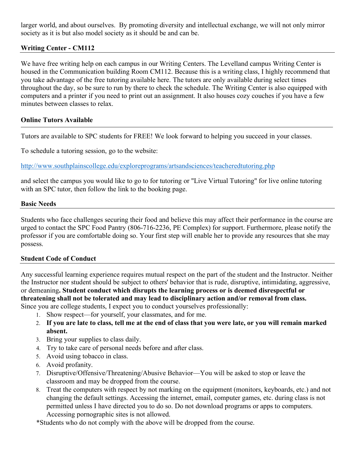larger world, and about ourselves. By promoting diversity and intellectual exchange, we will not only mirror society as it is but also model society as it should be and can be.

# **Writing Center - CM112**

We have free writing help on each campus in our Writing Centers. The Levelland campus Writing Center is housed in the Communication building Room CM112. Because this is a writing class, I highly recommend that you take advantage of the free tutoring available here. The tutors are only available during select times throughout the day, so be sure to run by there to check the schedule. The Writing Center is also equipped with computers and a printer if you need to print out an assignment. It also houses cozy couches if you have a few minutes between classes to relax.

# **Online Tutors Available**

Tutors are available to SPC students for FREE! We look forward to helping you succeed in your classes.

To schedule a tutoring session, go to the website:

<http://www.southplainscollege.edu/exploreprograms/artsandsciences/teacheredtutoring.php>

and select the campus you would like to go to for tutoring or "Live Virtual Tutoring" for live online tutoring with an SPC tutor, then follow the link to the booking page.

#### **Basic Needs**

Students who face challenges securing their food and believe this may affect their performance in the course are urged to contact the SPC Food Pantry (806-716-2236, PE Complex) for support. Furthermore, please notify the professor if you are comfortable doing so. Your first step will enable her to provide any resources that she may possess.

#### **Student Code of Conduct**

Any successful learning experience requires mutual respect on the part of the student and the Instructor. Neither the Instructor nor student should be subject to others' behavior that is rude, disruptive, intimidating, aggressive, or demeaning**. Student conduct which disrupts the learning process or is deemed disrespectful or threatening shall not be tolerated and may lead to disciplinary action and/or removal from class.** Since you are college students, I expect you to conduct yourselves professionally:

- 1. Show respect—for yourself, your classmates, and for me.
- 2. **If you are late to class, tell me at the end of class that you were late, or you will remain marked absent.**
- 3. Bring your supplies to class daily.
- 4. Try to take care of personal needs before and after class.
- 5. Avoid using tobacco in class.
- 6. Avoid profanity.
- 7. Disruptive/Offensive/Threatening/Abusive Behavior—You will be asked to stop or leave the classroom and may be dropped from the course.
- 8. Treat the computers with respect by not marking on the equipment (monitors, keyboards, etc.) and not changing the default settings. Accessing the internet, email, computer games, etc. during class is not permitted unless I have directed you to do so. Do not download programs or apps to computers. Accessing pornographic sites is not allowed.

\*Students who do not comply with the above will be dropped from the course.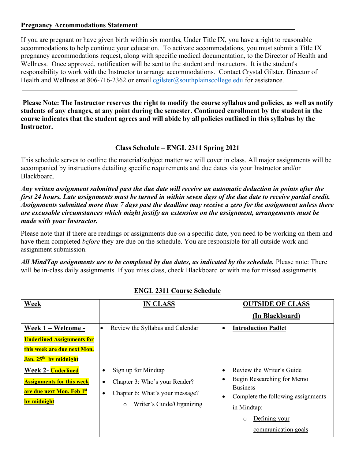#### **Pregnancy Accommodations Statement**

If you are pregnant or have given birth within six months, Under Title IX, you have a right to reasonable accommodations to help continue your education. To activate accommodations, you must submit a Title IX pregnancy accommodations request, along with specific medical documentation, to the Director of Health and Wellness. Once approved, notification will be sent to the student and instructors. It is the student's responsibility to work with the Instructor to arrange accommodations. Contact Crystal Gilster, Director of Health and Wellness at 806-716-2362 or email [cgilster@southplainscollege.edu](mailto:cgilster@southplainscollege.edu) for assistance.

**Please Note: The Instructor reserves the right to modify the course syllabus and policies, as well as notify students of any changes, at any point during the semester. Continued enrollment by the student in the course indicates that the student agrees and will abide by all policies outlined in this syllabus by the Instructor.**

# **Class Schedule – ENGL 2311 Spring 2021**

This schedule serves to outline the material/subject matter we will cover in class. All major assignments will be accompanied by instructions detailing specific requirements and due dates via your Instructor and/or Blackboard.

*Any written assignment submitted past the due date will receive an automatic deduction in points after the first 24 hours. Late assignments must be turned in within seven days of the due date to receive partial credit. Assignments submitted more than 7 days past the deadline may receive a zero for the assignment unless there are excusable circumstances which might justify an extension on the assignment, arrangements must be made with your Instructor.* 

Please note that if there are readings or assignments due *on* a specific date, you need to be working on them and have them completed *before* they are due on the schedule. You are responsible for all outside work and assignment submission.

*All MindTap assignments are to be completed by due dates, as indicated by the schedule.* Please note: There will be in-class daily assignments. If you miss class, check Blackboard or with me for missed assignments.

| Week                                                                                                                        | <b>IN CLASS</b>                                                                                                                                                | <b>OUTSIDE OF CLASS</b><br>(In Blackboard)                                                                                                                                                      |
|-----------------------------------------------------------------------------------------------------------------------------|----------------------------------------------------------------------------------------------------------------------------------------------------------------|-------------------------------------------------------------------------------------------------------------------------------------------------------------------------------------------------|
| Week 1 - Welcome -<br><b>Underlined Assignments for</b><br>this week are due next Mon.<br>Jan. 25 <sup>th</sup> by midnight | Review the Syllabus and Calendar<br>$\bullet$                                                                                                                  | <b>Introduction Padlet</b><br>$\bullet$                                                                                                                                                         |
| Week 2- Underlined<br><b>Assignments for this week</b><br>are due next Mon. Feb 1st<br>by midnight                          | Sign up for Mindtap<br>$\bullet$<br>Chapter 3: Who's your Reader?<br>$\bullet$<br>Chapter 6: What's your message?<br>٠<br>Writer's Guide/Organizing<br>$\circ$ | Review the Writer's Guide<br>$\bullet$<br>Begin Researching for Memo<br><b>Business</b><br>Complete the following assignments<br>in Mindtap:<br>Defining your<br>$\circ$<br>communication goals |

# **ENGL 2311 Course Schedule**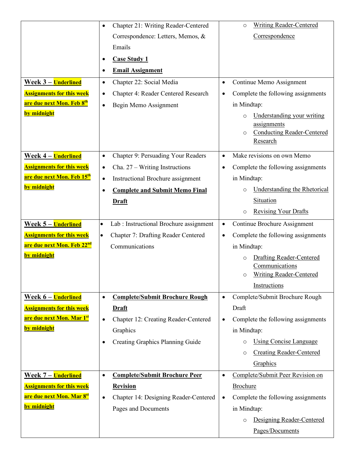|                                        | $\bullet$ | Chapter 21: Writing Reader-Centered     |           | <b>Writing Reader-Centered</b><br>$\circ$            |
|----------------------------------------|-----------|-----------------------------------------|-----------|------------------------------------------------------|
|                                        |           | Correspondence: Letters, Memos, &       |           | Correspondence                                       |
|                                        |           | Emails                                  |           |                                                      |
|                                        | $\bullet$ | <b>Case Study 1</b>                     |           |                                                      |
|                                        | $\bullet$ | <b>Email Assignment</b>                 |           |                                                      |
| Week 3 – Underlined                    | $\bullet$ | Chapter 22: Social Media                | $\bullet$ | Continue Memo Assignment                             |
| <b>Assignments for this week</b>       |           | Chapter 4: Reader Centered Research     |           | Complete the following assignments                   |
| are due next Mon. Feb 8 <sup>th</sup>  | $\bullet$ |                                         | $\bullet$ |                                                      |
| by midnight                            | $\bullet$ | Begin Memo Assignment                   |           | in Mindtap:                                          |
|                                        |           |                                         |           | Understanding your writing<br>$\circ$<br>assignments |
|                                        |           |                                         |           | <b>Conducting Reader-Centered</b><br>$\circ$         |
|                                        |           |                                         |           | Research                                             |
| Week 4 – Underlined                    | $\bullet$ | Chapter 9: Persuading Your Readers      | $\bullet$ | Make revisions on own Memo                           |
| <b>Assignments for this week</b>       | $\bullet$ | Cha. $27 - W$ riting Instructions       | $\bullet$ | Complete the following assignments                   |
| are due next Mon. Feb 15 <sup>th</sup> | $\bullet$ | Instructional Brochure assignment       |           | in Mindtap:                                          |
| by midnight                            | $\bullet$ | <b>Complete and Submit Memo Final</b>   |           | <b>Understanding the Rhetorical</b><br>$\circ$       |
|                                        |           | <b>Draft</b>                            |           | Situation                                            |
|                                        |           |                                         |           | <b>Revising Your Drafts</b><br>$\circ$               |
| <u> Week 5 – Underlined</u>            | $\bullet$ | Lab : Instructional Brochure assignment | $\bullet$ | Continue Brochure Assignment                         |
| <b>Assignments for this week</b>       | $\bullet$ | Chapter 7: Drafting Reader Centered     | $\bullet$ | Complete the following assignments                   |
| are due next Mon. Feb 22 <sup>nd</sup> |           | Communications                          |           | in Mindtap:                                          |
| by midnight                            |           |                                         |           | <b>Drafting Reader-Centered</b><br>$\circ$           |
|                                        |           |                                         |           | Communications                                       |
|                                        |           |                                         |           | <b>Writing Reader-Centered</b><br>$\circ$            |
|                                        |           |                                         |           | Instructions                                         |
| <u> Week 6 – Underlined</u>            | $\bullet$ | <b>Complete/Submit Brochure Rough</b>   | $\bullet$ | Complete/Submit Brochure Rough                       |
| <b>Assignments for this week</b>       |           | <b>Draft</b>                            |           | Draft                                                |
| are due next Mon. Mar 1st              | $\bullet$ | Chapter 12: Creating Reader-Centered    | $\bullet$ | Complete the following assignments                   |
| by midnight                            |           | Graphics                                |           | in Mindtap:                                          |
|                                        | $\bullet$ | <b>Creating Graphics Planning Guide</b> |           | <b>Using Concise Language</b><br>$\circ$             |
|                                        |           |                                         |           | <b>Creating Reader-Centered</b><br>$\circ$           |
|                                        |           |                                         |           | Graphics                                             |
| <b>Week 7 – Underlined</b>             | $\bullet$ | <b>Complete/Submit Brochure Peer</b>    | $\bullet$ | Complete/Submit Peer Revision on                     |
| <b>Assignments for this week</b>       |           | <b>Revision</b>                         |           | <b>Brochure</b>                                      |
| are due next Mon. Mar 8st              | $\bullet$ | Chapter 14: Designing Reader-Centered   | ٠         | Complete the following assignments                   |
| <u>by midnight</u>                     |           | Pages and Documents                     |           | in Mindtap:                                          |
|                                        |           |                                         |           | Designing Reader-Centered<br>$\circ$                 |
|                                        |           |                                         |           | Pages/Documents                                      |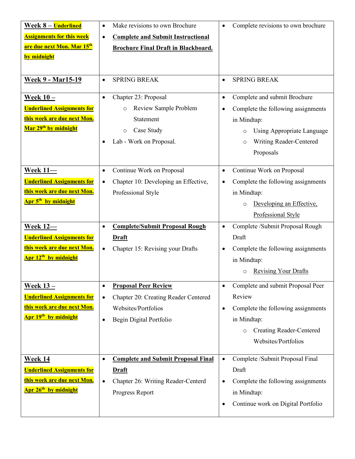| Week 8 - Underlined                          | Make revisions to own Brochure<br>$\bullet$            | Complete revisions to own brochure<br>$\bullet$ |
|----------------------------------------------|--------------------------------------------------------|-------------------------------------------------|
| <b>Assignments for this week</b>             | <b>Complete and Submit Instructional</b><br>$\bullet$  |                                                 |
| are due next Mon. Mar 15 <sup>th</sup>       | <b>Brochure Final Draft in Blackboard.</b>             |                                                 |
| by midnight                                  |                                                        |                                                 |
|                                              |                                                        |                                                 |
| <b>Week 9 - Mar15-19</b>                     | <b>SPRING BREAK</b>                                    | <b>SPRING BREAK</b><br>$\bullet$                |
|                                              |                                                        |                                                 |
| Week $10 -$                                  | Chapter 23: Proposal<br>$\bullet$                      | Complete and submit Brochure<br>$\bullet$       |
| <b>Underlined Assignments for</b>            | Review Sample Problem<br>$\circ$                       | Complete the following assignments<br>$\bullet$ |
| this week are due next Mon.                  | Statement                                              | in Mindtap:                                     |
| Mar 29 <sup>th</sup> by midnight             | Case Study<br>$\circ$                                  | Using Appropriate Language<br>$\circ$           |
|                                              | Lab - Work on Proposal.                                | Writing Reader-Centered<br>$\circ$              |
|                                              |                                                        | Proposals                                       |
| Week $11-$                                   | Continue Work on Proposal<br>$\bullet$                 | Continue Work on Proposal<br>$\bullet$          |
| <b>Underlined Assignments for</b>            | Chapter 10: Developing an Effective,<br>$\bullet$      | Complete the following assignments<br>$\bullet$ |
| this week are due next Mon.                  | Professional Style                                     | in Mindtap:                                     |
| Apr 5 <sup>th</sup> by midnight              |                                                        |                                                 |
|                                              |                                                        | Developing an Effective,<br>$\circ$             |
|                                              |                                                        | Professional Style                              |
|                                              |                                                        |                                                 |
| <b>Week 12-</b>                              | <b>Complete/Submit Proposal Rough</b><br>$\bullet$     | Complete /Submit Proposal Rough<br>$\bullet$    |
| <b>Underlined Assignments for</b>            | <b>Draft</b>                                           | Draft                                           |
| this week are due next Mon.                  | Chapter 15: Revising your Drafts<br>$\bullet$          | Complete the following assignments<br>٠         |
| Apr 12 <sup>th</sup> by midnight             |                                                        | in Mindtap:                                     |
|                                              |                                                        | <b>Revising Your Drafts</b>                     |
| <u>Week 13 – </u>                            | <b>Proposal Peer Review</b><br>$\bullet$               | Complete and submit Proposal Peer<br>$\bullet$  |
| <b>Underlined Assignments for</b>            | Chapter 20: Creating Reader Centered<br>$\bullet$      | Review                                          |
| <mark>this week are due next Mon.</mark>     | Websites/Portfolios                                    | Complete the following assignments<br>$\bullet$ |
| <mark>Apr 19<sup>th</sup> by midnight</mark> | Begin Digital Portfolio<br>$\bullet$                   | in Mindtap:                                     |
|                                              |                                                        | <b>Creating Reader-Centered</b><br>$\circ$      |
|                                              |                                                        | Websites/Portfolios                             |
|                                              |                                                        |                                                 |
| Week 14                                      | <b>Complete and Submit Proposal Final</b><br>$\bullet$ | Complete /Submit Proposal Final<br>$\bullet$    |
| <b>Underlined Assignments for</b>            | <b>Draft</b>                                           | Draft                                           |
| <mark>this week are due next Mon.</mark>     | Chapter 26: Writing Reader-Centerd<br>$\bullet$        | Complete the following assignments<br>$\bullet$ |
| <mark>Apr 26<sup>th</sup> by midnight</mark> | Progress Report                                        | in Mindtap:                                     |
|                                              |                                                        | Continue work on Digital Portfolio<br>$\bullet$ |